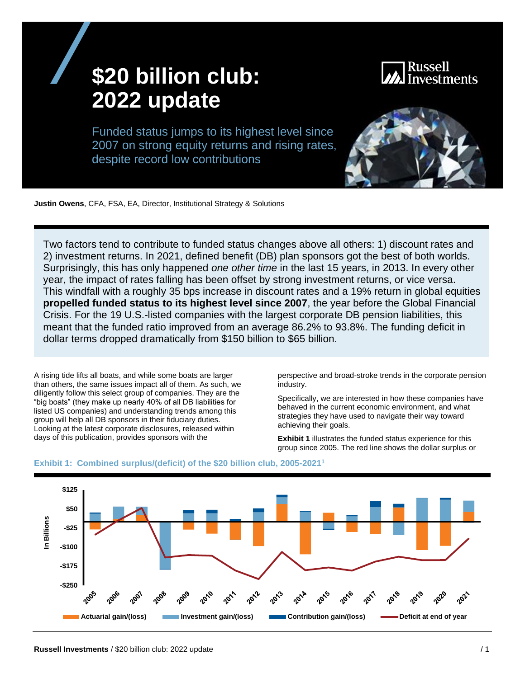# **\$20 billion club: 2022 update**



Funded status jumps to its highest level since 2007 on strong equity returns and rising rates, despite record low contributions

**Justin Owens**, CFA, FSA, EA, Director, Institutional Strategy & Solutions

Two factors tend to contribute to funded status changes above all others: 1) discount rates and 2) investment returns. In 2021, defined benefit (DB) plan sponsors got the best of both worlds. Surprisingly, this has only happened *one other time* in the last 15 years, in 2013. In every other year, the impact of rates falling has been offset by strong investment returns, or vice versa. This windfall with a roughly 35 bps increase in discount rates and a 19% return in global equities **propelled funded status to its highest level since 2007**, the year before the Global Financial Crisis. For the 19 U.S.-listed companies with the largest corporate DB pension liabilities, this meant that the funded ratio improved from an average 86.2% to 93.8%. The funding deficit in dollar terms dropped dramatically from \$150 billion to \$65 billion.

A rising tide lifts all boats, and while some boats are larger than others, the same issues impact all of them. As such, we diligently follow this select group of companies. They are the "big boats" (they make up nearly 40% of all DB liabilities for listed US companies) and understanding trends among this group will help all DB sponsors in their fiduciary duties. Looking at the latest corporate disclosures, released within days of this publication, provides sponsors with the

perspective and broad-stroke trends in the corporate pension industry.

Specifically, we are interested in how these companies have behaved in the current economic environment, and what strategies they have used to navigate their way toward achieving their goals.

**Exhibit 1** illustrates the funded status experience for this group since 2005. The red line shows the dollar surplus or



#### **Exhibit 1: Combined surplus/(deficit) of the \$20 billion club, 2005-2021<sup>1</sup>**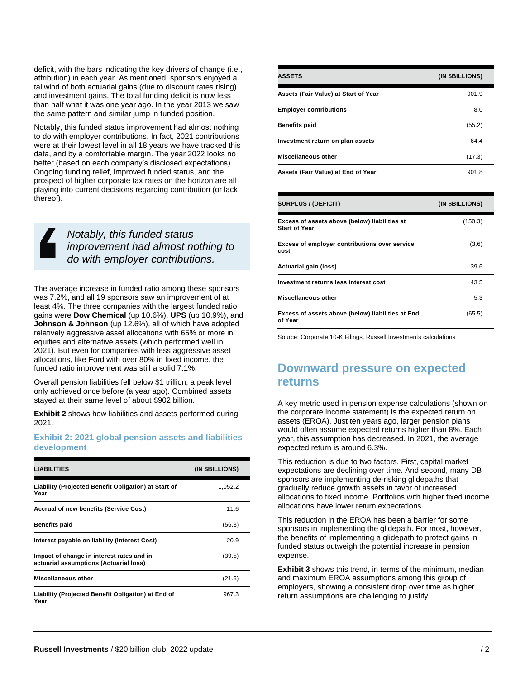deficit, with the bars indicating the key drivers of change (i.e., attribution) in each year. As mentioned, sponsors enjoyed a tailwind of both actuarial gains (due to discount rates rising) and investment gains. The total funding deficit is now less than half what it was one year ago. In the year 2013 we saw the same pattern and similar jump in funded position.

Notably, this funded status improvement had almost nothing to do with employer contributions. In fact, 2021 contributions were at their lowest level in all 18 years we have tracked this data, and by a comfortable margin. The year 2022 looks no better (based on each company's disclosed expectations). Ongoing funding relief, improved funded status, and the prospect of higher corporate tax rates on the horizon are all playing into current decisions regarding contribution (or lack thereof).

> *Notably, this funded status improvement had almost nothing to do with employer contributions.*

The average increase in funded ratio among these sponsors was 7.2%, and all 19 sponsors saw an improvement of at least 4%. The three companies with the largest funded ratio gains were **Dow Chemical** (up 10.6%), **UPS** (up 10.9%), and **Johnson & Johnson** (up 12.6%), all of which have adopted relatively aggressive asset allocations with 65% or more in equities and alternative assets (which performed well in 2021). But even for companies with less aggressive asset allocations, like Ford with over 80% in fixed income, the funded ratio improvement was still a solid 7.1%.

Overall pension liabilities fell below \$1 trillion, a peak level only achieved once before (a year ago). Combined assets stayed at their same level of about \$902 billion.

**Exhibit 2** shows how liabilities and assets performed during 2021.

#### **Exhibit 2: 2021 global pension assets and liabilities development**

| <b>LIABILITIES</b>                                                                  | (IN \$BILLIONS) |
|-------------------------------------------------------------------------------------|-----------------|
| Liability (Projected Benefit Obligation) at Start of<br>Year                        | 1,052.2         |
| <b>Accrual of new benefits (Service Cost)</b>                                       | 11.6            |
| <b>Benefits paid</b>                                                                | (56.3)          |
| Interest payable on liability (Interest Cost)                                       | 20.9            |
| Impact of change in interest rates and in<br>actuarial assumptions (Actuarial loss) | (39.5)          |
| Miscellaneous other                                                                 | (21.6)          |
| Liability (Projected Benefit Obligation) at End of<br>Year                          | 967.3           |

| <b>ASSETS</b>                        | (IN \$BILLIONS) |
|--------------------------------------|-----------------|
| Assets (Fair Value) at Start of Year | 901.9           |
| <b>Employer contributions</b>        | 8.0             |
| <b>Benefits paid</b>                 | (55.2)          |
| Investment return on plan assets     | 64.4            |
| Miscellaneous other                  | (17.3)          |
| Assets (Fair Value) at End of Year   | 901.8           |

| <b>SURPLUS / (DEFICIT)</b>                                            | (IN \$BILLIONS) |  |
|-----------------------------------------------------------------------|-----------------|--|
| Excess of assets above (below) liabilities at<br><b>Start of Year</b> | (150.3)         |  |
| <b>Excess of employer contributions over service</b><br>cost          | (3.6)           |  |
| Actuarial gain (loss)                                                 | 39.6            |  |
| Investment returns less interest cost                                 | 43.5            |  |
| Miscellaneous other                                                   | 5.3             |  |
| Excess of assets above (below) liabilities at End<br>of Year          | (65.5)          |  |

Source: Corporate 10-K Filings, Russell Investments calculations

### **Downward pressure on expected returns**

A key metric used in pension expense calculations (shown on the corporate income statement) is the expected return on assets (EROA). Just ten years ago, larger pension plans would often assume expected returns higher than 8%. Each year, this assumption has decreased. In 2021, the average expected return is around 6.3%.

This reduction is due to two factors. First, capital market expectations are declining over time. And second, many DB sponsors are implementing de-risking glidepaths that gradually reduce growth assets in favor of increased allocations to fixed income. Portfolios with higher fixed income allocations have lower return expectations.

This reduction in the EROA has been a barrier for some sponsors in implementing the glidepath. For most, however, the benefits of implementing a glidepath to protect gains in funded status outweigh the potential increase in pension expense.

**Exhibit 3** shows this trend, in terms of the minimum, median and maximum EROA assumptions among this group of employers, showing a consistent drop over time as higher return assumptions are challenging to justify.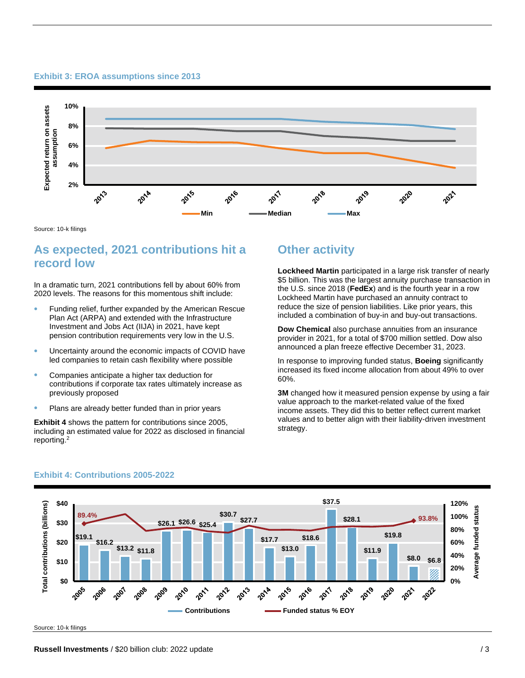#### **Exhibit 3: EROA assumptions since 2013**



Source: 10-k filings

# **As expected, 2021 contributions hit a record low**

In a dramatic turn, 2021 contributions fell by about 60% from 2020 levels. The reasons for this momentous shift include:

- Funding relief, further expanded by the American Rescue Plan Act (ARPA) and extended with the Infrastructure Investment and Jobs Act (IIJA) in 2021, have kept pension contribution requirements very low in the U.S.
- Uncertainty around the economic impacts of COVID have led companies to retain cash flexibility where possible
- Companies anticipate a higher tax deduction for contributions if corporate tax rates ultimately increase as previously proposed
- Plans are already better funded than in prior years

**Exhibit 4** shows the pattern for contributions since 2005, including an estimated value for 2022 as disclosed in financial reporting.<sup>2</sup>

# **Other activity**

**Lockheed Martin** participated in a large risk transfer of nearly \$5 billion. This was the largest annuity purchase transaction in the U.S. since 2018 (**FedEx**) and is the fourth year in a row Lockheed Martin have purchased an annuity contract to reduce the size of pension liabilities. Like prior years, this included a combination of buy-in and buy-out transactions.

**Dow Chemical** also purchase annuities from an insurance provider in 2021, for a total of \$700 million settled. Dow also announced a plan freeze effective December 31, 2023.

In response to improving funded status, **Boeing** significantly increased its fixed income allocation from about 49% to over 60%.

**3M** changed how it measured pension expense by using a fair value approach to the market-related value of the fixed income assets. They did this to better reflect current market values and to better align with their liability-driven investment strategy.



#### **Exhibit 4: Contributions 2005-2022**

Source: 10-k filings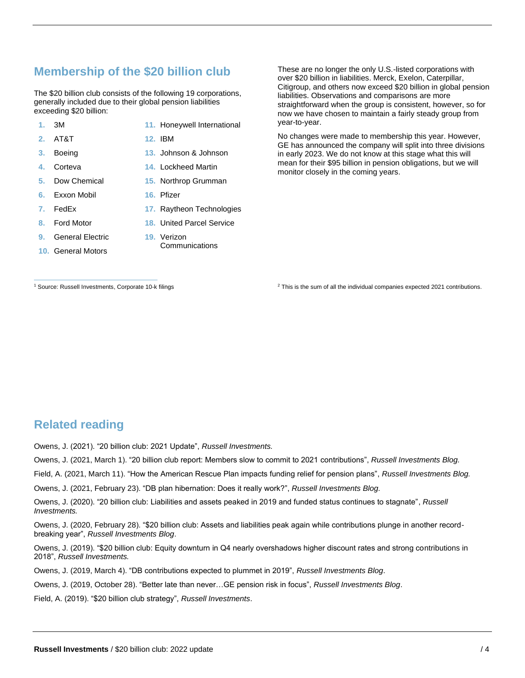# **Membership of the \$20 billion club**

The \$20 billion club consists of the following 19 corporations, generally included due to their global pension liabilities exceeding \$20 billion:

- **1.** 3M
- **11.** Honeywell International

**13.** Johnson & Johnson

**17.** Raytheon Technologies **18.** United Parcel Service

Communications

- **2.** AT&T
- **3.** Boeing **4.** Corteva
- **14.** Lockheed Martin

**16.** Pfizer

**19.** Verizon

**12.** IBM

- **15.** Northrop Grumman
- **6.** Exxon Mobil

**5.** Dow Chemical

- **7.** FedEx
- **8.** Ford Motor
- **9.** General Electric
- **10.** General Motors

straightforward when the group is consistent, however, so for now we have chosen to maintain a fairly steady group from year-to-year.

No changes were made to membership this year. However, GE has announced the company will split into three divisions in early 2023. We do not know at this stage what this will mean for their \$95 billion in pension obligations, but we will monitor closely in the coming years.

These are no longer the only U.S.-listed corporations with over \$20 billion in liabilities. Merck, Exelon, Caterpillar, Citigroup, and others now exceed \$20 billion in global pension

liabilities. Observations and comparisons are more

<sup>1</sup> Source: Russell Investments, Corporate 10-k filings

<sup>2</sup> This is the sum of all the individual companies expected 2021 contributions.

# **Related reading**

Owens, J. (2021). "20 billion club: 2021 Update", *Russell Investments.*

Owens, J. (2021, March 1). "20 billion club report: Members slow to commit to 2021 contributions", *Russell Investments Blog.*

Field, A. (2021, March 11). "How the American Rescue Plan impacts funding relief for pension plans", *Russell Investments Blog.*

Owens, J. (2021, February 23). "DB plan hibernation: Does it really work?", *Russell Investments Blog.*

Owens, J. (2020). "20 billion club: Liabilities and assets peaked in 2019 and funded status continues to stagnate", *Russell Investments.*

Owens, J. (2020, February 28). "\$20 billion club: Assets and liabilities peak again while contributions plunge in another recordbreaking year", *Russell Investments Blog*.

Owens, J. (2019). "\$20 billion club: Equity downturn in Q4 nearly overshadows higher discount rates and strong contributions in 2018", *Russell Investments.*

Owens, J. (2019, March 4). "DB contributions expected to plummet in 2019", *Russell Investments Blog*.

Owens, J. (2019, October 28). "Better late than never…GE pension risk in focus", *Russell Investments Blog*.

Field, A. (2019). "\$20 billion club strategy", *Russell Investments*.